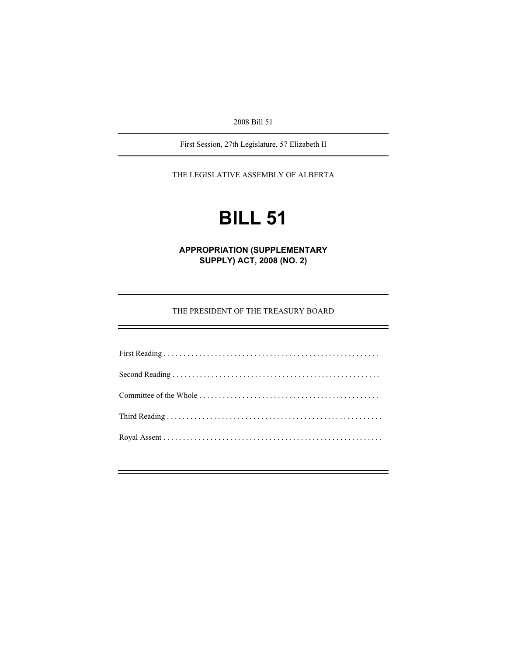2008 Bill 51

First Session, 27th Legislature, 57 Elizabeth II

THE LEGISLATIVE ASSEMBLY OF ALBERTA

# **BILL 51**

**APPROPRIATION (SUPPLEMENTARY SUPPLY) ACT, 2008 (NO. 2)** 

THE PRESIDENT OF THE TREASURY BOARD

e<br>H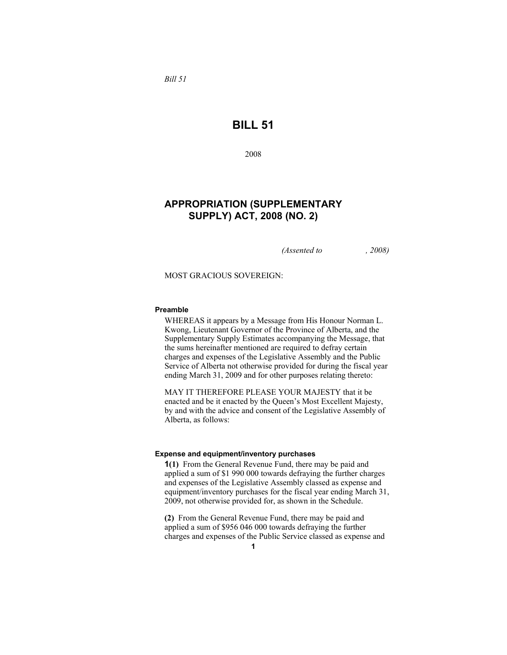*Bill 51* 

# **BILL 51**

2008

# **APPROPRIATION (SUPPLEMENTARY SUPPLY) ACT, 2008 (NO. 2)**

*(Assented to , 2008)* 

MOST GRACIOUS SOVEREIGN:

#### **Preamble**

WHEREAS it appears by a Message from His Honour Norman L. Kwong, Lieutenant Governor of the Province of Alberta, and the Supplementary Supply Estimates accompanying the Message, that the sums hereinafter mentioned are required to defray certain charges and expenses of the Legislative Assembly and the Public Service of Alberta not otherwise provided for during the fiscal year ending March 31, 2009 and for other purposes relating thereto:

MAY IT THEREFORE PLEASE YOUR MAJESTY that it be enacted and be it enacted by the Queen's Most Excellent Majesty, by and with the advice and consent of the Legislative Assembly of Alberta, as follows:

#### **Expense and equipment/inventory purchases**

**1(1)** From the General Revenue Fund, there may be paid and applied a sum of \$1 990 000 towards defraying the further charges and expenses of the Legislative Assembly classed as expense and equipment/inventory purchases for the fiscal year ending March 31, 2009, not otherwise provided for, as shown in the Schedule.

**(2)** From the General Revenue Fund, there may be paid and applied a sum of \$956 046 000 towards defraying the further charges and expenses of the Public Service classed as expense and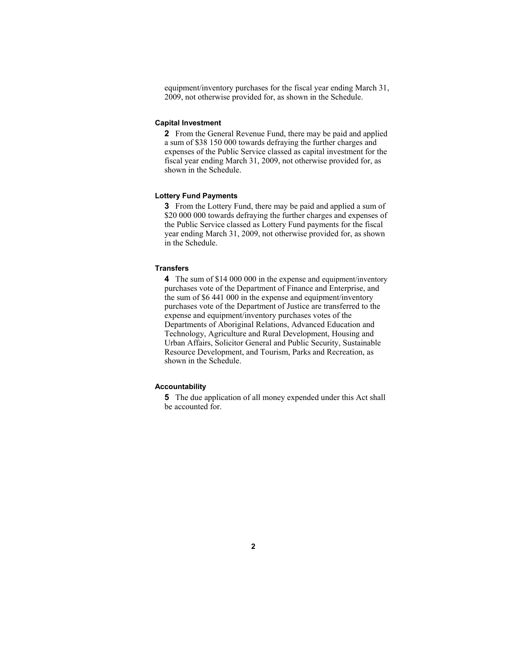equipment/inventory purchases for the fiscal year ending March 31, 2009, not otherwise provided for, as shown in the Schedule.

#### **Capital Investment**

**2** From the General Revenue Fund, there may be paid and applied a sum of \$38 150 000 towards defraying the further charges and expenses of the Public Service classed as capital investment for the fiscal year ending March 31, 2009, not otherwise provided for, as shown in the Schedule.

#### **Lottery Fund Payments**

**3** From the Lottery Fund, there may be paid and applied a sum of \$20 000 000 towards defraying the further charges and expenses of the Public Service classed as Lottery Fund payments for the fiscal year ending March 31, 2009, not otherwise provided for, as shown in the Schedule.

#### **Transfers**

**4** The sum of \$14 000 000 in the expense and equipment/inventory purchases vote of the Department of Finance and Enterprise, and the sum of \$6 441 000 in the expense and equipment/inventory purchases vote of the Department of Justice are transferred to the expense and equipment/inventory purchases votes of the Departments of Aboriginal Relations, Advanced Education and Technology, Agriculture and Rural Development, Housing and Urban Affairs, Solicitor General and Public Security, Sustainable Resource Development, and Tourism, Parks and Recreation, as shown in the Schedule.

### **Accountability**

**5** The due application of all money expended under this Act shall be accounted for.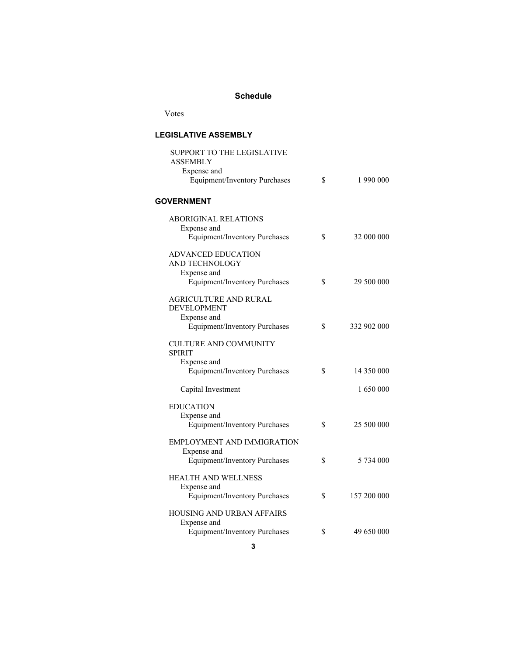## **Schedule**

Votes

## **LEGISLATIVE ASSEMBLY**

| SUPPORT TO THE LEGISLATIVE<br><b>ASSEMBLY</b><br>Expense and<br>Equipment/Inventory Purchases      | \$ | 1 990 000   |  |  |  |
|----------------------------------------------------------------------------------------------------|----|-------------|--|--|--|
| <b>GOVERNMENT</b>                                                                                  |    |             |  |  |  |
| <b>ABORIGINAL RELATIONS</b><br>Expense and<br><b>Equipment/Inventory Purchases</b>                 | S  | 32 000 000  |  |  |  |
| <b>ADVANCED EDUCATION</b><br>AND TECHNOLOGY<br>Expense and<br><b>Equipment/Inventory Purchases</b> | \$ | 29 500 000  |  |  |  |
| AGRICULTURE AND RURAL<br><b>DEVELOPMENT</b><br>Expense and<br><b>Equipment/Inventory Purchases</b> | \$ | 332 902 000 |  |  |  |
| <b>CULTURE AND COMMUNITY</b><br><b>SPIRIT</b><br>Expense and                                       |    |             |  |  |  |
| <b>Equipment/Inventory Purchases</b>                                                               | \$ | 14 350 000  |  |  |  |
| Capital Investment                                                                                 |    | 1 650 000   |  |  |  |
| <b>EDUCATION</b>                                                                                   |    |             |  |  |  |
| Expense and<br>Equipment/Inventory Purchases                                                       | \$ | 25 500 000  |  |  |  |
| EMPLOYMENT AND IMMIGRATION<br>Expense and<br><b>Equipment/Inventory Purchases</b>                  | \$ | 5 734 000   |  |  |  |
| HEALTH AND WELLNESS<br>Expense and<br><b>Equipment/Inventory Purchases</b>                         | \$ | 157 200 000 |  |  |  |
| HOUSING AND URBAN AFFAIRS                                                                          |    |             |  |  |  |
| Expense and<br><b>Equipment/Inventory Purchases</b>                                                | \$ | 49 650 000  |  |  |  |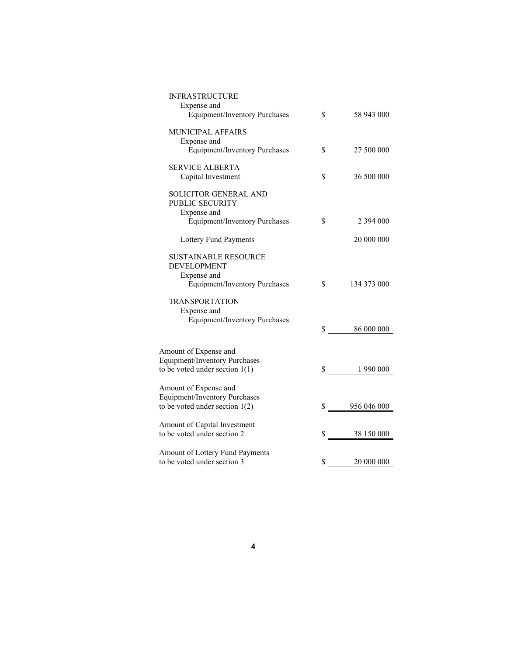| <b>INFRASTRUCTURE</b><br>Expense and<br><b>Equipment/Inventory Purchases</b>                                               | \$<br>58 943 000  |
|----------------------------------------------------------------------------------------------------------------------------|-------------------|
| MUNICIPAL AFFAIRS<br>Expense and<br><b>Equipment/Inventory Purchases</b>                                                   | \$<br>27 500 000  |
| <b>SERVICE ALBERTA</b><br>Capital Investment                                                                               | \$<br>36 500 000  |
| SOLICITOR GENERAL AND<br>PUBLIC SECURITY<br>Expense and<br><b>Equipment/Inventory Purchases</b>                            | \$<br>2 394 000   |
| Lottery Fund Payments                                                                                                      | 20 000 000        |
| SUSTAINABLE RESOURCE<br><b>DEVELOPMENT</b><br>Expense and<br><b>Equipment/Inventory Purchases</b><br><b>TRANSPORTATION</b> | \$<br>134 373 000 |
| Expense and<br><b>Equipment/Inventory Purchases</b>                                                                        | \$<br>86 000 000  |
| Amount of Expense and<br><b>Equipment/Inventory Purchases</b><br>to be voted under section $1(1)$                          | \$<br>1 990 000   |
| Amount of Expense and<br><b>Equipment/Inventory Purchases</b><br>to be voted under section $1(2)$                          | \$<br>956 046 000 |
| Amount of Capital Investment<br>to be voted under section 2                                                                | \$<br>38 150 000  |
| Amount of Lottery Fund Payments<br>to be voted under section 3                                                             | \$<br>20 000 000  |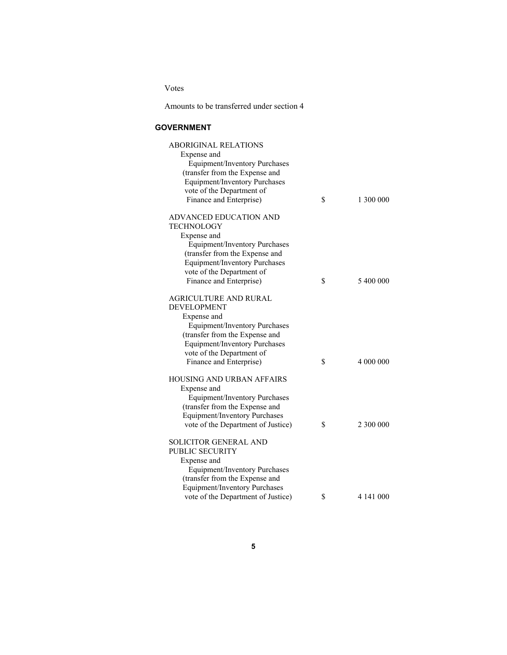Votes

Amounts to be transferred under section 4

#### **GOVERNMENT**

| <b>ABORIGINAL RELATIONS</b>          |                 |
|--------------------------------------|-----------------|
| Expense and                          |                 |
| <b>Equipment/Inventory Purchases</b> |                 |
| (transfer from the Expense and       |                 |
| <b>Equipment/Inventory Purchases</b> |                 |
| vote of the Department of            |                 |
| Finance and Enterprise)              | \$<br>1 300 000 |
|                                      |                 |
| ADVANCED EDUCATION AND               |                 |
| <b>TECHNOLOGY</b>                    |                 |
|                                      |                 |
| Expense and                          |                 |
| <b>Equipment/Inventory Purchases</b> |                 |
| (transfer from the Expense and       |                 |
| <b>Equipment/Inventory Purchases</b> |                 |
| vote of the Department of            |                 |
| Finance and Enterprise)              | \$<br>5 400 000 |
|                                      |                 |
| <b>AGRICULTURE AND RURAL</b>         |                 |
| DEVELOPMENT                          |                 |
| Expense and                          |                 |
| <b>Equipment/Inventory Purchases</b> |                 |
| (transfer from the Expense and       |                 |
| <b>Equipment/Inventory Purchases</b> |                 |
| vote of the Department of            |                 |
| Finance and Enterprise)              | \$<br>4 000 000 |
|                                      |                 |
| <b>HOUSING AND URBAN AFFAIRS</b>     |                 |
| Expense and                          |                 |
| <b>Equipment/Inventory Purchases</b> |                 |
| (transfer from the Expense and       |                 |
| Equipment/Inventory Purchases        |                 |
| vote of the Department of Justice)   | \$<br>2 300 000 |
|                                      |                 |
| <b>SOLICITOR GENERAL AND</b>         |                 |
| PUBLIC SECURITY                      |                 |
| Expense and                          |                 |
| Equipment/Inventory Purchases        |                 |
| (transfer from the Expense and       |                 |
|                                      |                 |
| <b>Equipment/Inventory Purchases</b> |                 |
| vote of the Department of Justice)   | \$<br>4 141 000 |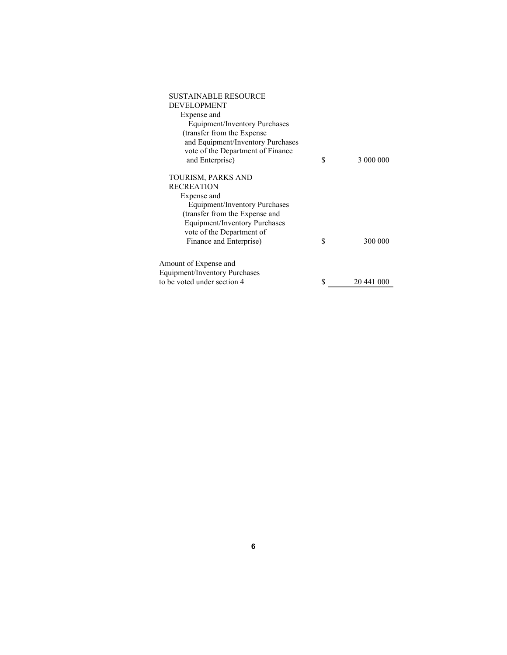| <b>SUSTAINABLE RESOURCE</b>          |                  |
|--------------------------------------|------------------|
| <b>DEVELOPMENT</b>                   |                  |
| Expense and                          |                  |
| Equipment/Inventory Purchases        |                  |
| (transfer from the Expense           |                  |
| and Equipment/Inventory Purchases    |                  |
| vote of the Department of Finance    |                  |
| and Enterprise)                      | \$<br>3 000 000  |
| TOURISM, PARKS AND                   |                  |
| <b>RECREATION</b>                    |                  |
| Expense and                          |                  |
| Equipment/Inventory Purchases        |                  |
| (transfer from the Expense and       |                  |
| Equipment/Inventory Purchases        |                  |
| vote of the Department of            |                  |
| Finance and Enterprise)              | \$<br>300 000    |
| Amount of Expense and                |                  |
| <b>Equipment/Inventory Purchases</b> |                  |
| to be voted under section 4          | \$<br>20 441 000 |
|                                      |                  |